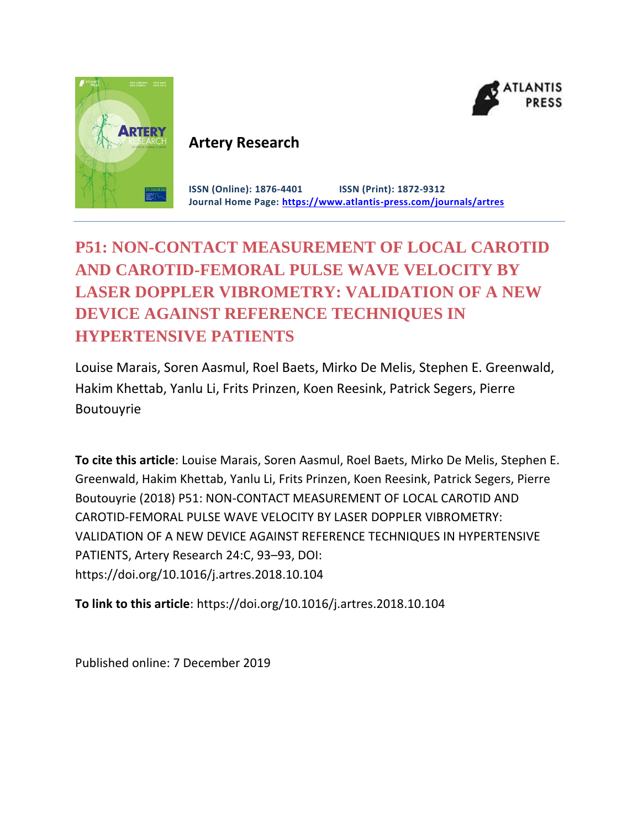



# **Artery Research**

**ISSN (Online): 1876-4401 ISSN (Print): 1872-9312 Journal Home Page: <https://www.atlantis-press.com/journals/artres>**

# **P51: NON-CONTACT MEASUREMENT OF LOCAL CAROTID AND CAROTID-FEMORAL PULSE WAVE VELOCITY BY LASER DOPPLER VIBROMETRY: VALIDATION OF A NEW DEVICE AGAINST REFERENCE TECHNIQUES IN HYPERTENSIVE PATIENTS**

Louise Marais, Soren Aasmul, Roel Baets, Mirko De Melis, Stephen E. Greenwald, Hakim Khettab, Yanlu Li, Frits Prinzen, Koen Reesink, Patrick Segers, Pierre Boutouyrie

**To cite this article**: Louise Marais, Soren Aasmul, Roel Baets, Mirko De Melis, Stephen E. Greenwald, Hakim Khettab, Yanlu Li, Frits Prinzen, Koen Reesink, Patrick Segers, Pierre Boutouyrie (2018) P51: NON-CONTACT MEASUREMENT OF LOCAL CAROTID AND CAROTID-FEMORAL PULSE WAVE VELOCITY BY LASER DOPPLER VIBROMETRY: VALIDATION OF A NEW DEVICE AGAINST REFERENCE TECHNIQUES IN HYPERTENSIVE PATIENTS, Artery Research 24:C, 93–93, DOI: https://doi.org/10.1016/j.artres.2018.10.104

**To link to this article**: https://doi.org/10.1016/j.artres.2018.10.104

Published online: 7 December 2019